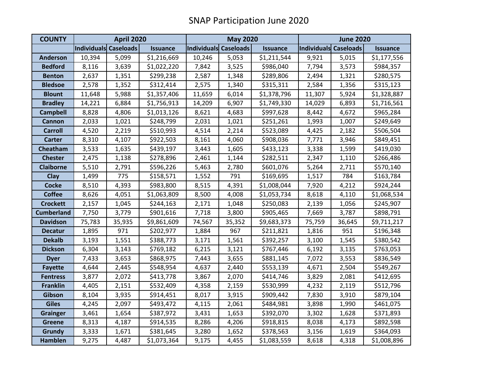| <b>COUNTY</b>     | <b>April 2020</b>            |        |                 | <b>May 2020</b>       |        |                 | <b>June 2020</b>      |        |                 |
|-------------------|------------------------------|--------|-----------------|-----------------------|--------|-----------------|-----------------------|--------|-----------------|
|                   | <b>Individuals Caseloads</b> |        | <b>Issuance</b> | Individuals Caseloads |        | <b>Issuance</b> | Individuals Caseloads |        | <b>Issuance</b> |
| <b>Anderson</b>   | 10,394                       | 5,099  | \$1,216,669     | 10,246                | 5,053  | \$1,211,544     | 9,921                 | 5,015  | \$1,177,556     |
| <b>Bedford</b>    | 8,116                        | 3,639  | \$1,022,220     | 7,842                 | 3,525  | \$986,040       | 7,794                 | 3,573  | \$984,357       |
| <b>Benton</b>     | 2,637                        | 1,351  | \$299,238       | 2,587                 | 1,348  | \$289,806       | 2,494                 | 1,321  | \$280,575       |
| <b>Bledsoe</b>    | 2,578                        | 1,352  | \$312,414       | 2,575                 | 1,340  | \$315,311       | 2,584                 | 1,356  | \$315,123       |
| <b>Blount</b>     | 11,648                       | 5,988  | \$1,357,406     | 11,659                | 6,014  | \$1,378,796     | 11,307                | 5,924  | \$1,328,887     |
| <b>Bradley</b>    | 14,221                       | 6,884  | \$1,756,913     | 14,209                | 6,907  | \$1,749,330     | 14,029                | 6,893  | \$1,716,561     |
| <b>Campbell</b>   | 8,828                        | 4,806  | \$1,013,126     | 8,621                 | 4,683  | \$997,628       | 8,442                 | 4,672  | \$965,284       |
| Cannon            | 2,033                        | 1,021  | \$248,799       | 2,031                 | 1,021  | \$251,261       | 1,993                 | 1,007  | \$249,649       |
| <b>Carroll</b>    | 4,520                        | 2,219  | \$510,993       | 4,514                 | 2,214  | \$523,089       | 4,425                 | 2,182  | \$506,504       |
| <b>Carter</b>     | 8,310                        | 4,107  | \$922,503       | 8,161                 | 4,060  | \$908,036       | 7,771                 | 3,946  | \$849,451       |
| Cheatham          | 3,533                        | 1,635  | \$439,197       | 3,443                 | 1,605  | \$433,123       | 3,338                 | 1,599  | \$419,030       |
| <b>Chester</b>    | 2,475                        | 1,138  | \$278,896       | 2,461                 | 1,144  | \$282,511       | 2,347                 | 1,110  | \$266,486       |
| <b>Claiborne</b>  | 5,510                        | 2,791  | \$596,226       | 5,463                 | 2,780  | \$601,076       | 5,264                 | 2,711  | \$570,140       |
| <b>Clay</b>       | 1,499                        | 775    | \$158,571       | 1,552                 | 791    | \$169,695       | 1,517                 | 784    | \$163,784       |
| <b>Cocke</b>      | 8,510                        | 4,393  | \$983,800       | 8,515                 | 4,391  | \$1,008,044     | 7,920                 | 4,212  | \$924,244       |
| <b>Coffee</b>     | 8,626                        | 4,051  | \$1,063,809     | 8,500                 | 4,008  | \$1,053,734     | 8,618                 | 4,110  | \$1,068,534     |
| <b>Crockett</b>   | 2,157                        | 1,045  | \$244,163       | 2,171                 | 1,048  | \$250,083       | 2,139                 | 1,056  | \$245,907       |
| <b>Cumberland</b> | 7,750                        | 3,779  | \$901,616       | 7,718                 | 3,800  | \$905,465       | 7,669                 | 3,787  | \$898,791       |
| <b>Davidson</b>   | 75,783                       | 35,935 | \$9,861,609     | 74,567                | 35,352 | \$9,683,373     | 75,759                | 36,645 | \$9,711,217     |
| <b>Decatur</b>    | 1,895                        | 971    | \$202,977       | 1,884                 | 967    | \$211,821       | 1,816                 | 951    | \$196,348       |
| <b>Dekalb</b>     | 3,193                        | 1,551  | \$388,773       | 3,171                 | 1,561  | \$392,257       | 3,100                 | 1,545  | \$380,542       |
| <b>Dickson</b>    | 6,304                        | 3,143  | \$769,182       | 6,215                 | 3,121  | \$767,446       | 6,192                 | 3,135  | \$763,053       |
| <b>Dyer</b>       | 7,433                        | 3,653  | \$868,975       | 7,443                 | 3,655  | \$881,145       | 7,072                 | 3,553  | \$836,549       |
| <b>Fayette</b>    | 4,644                        | 2,445  | \$548,954       | 4,637                 | 2,440  | \$553,139       | 4,671                 | 2,504  | \$549,267       |
| <b>Fentress</b>   | 3,877                        | 2,072  | \$413,778       | 3,867                 | 2,070  | \$414,746       | 3,829                 | 2,081  | \$412,695       |
| <b>Franklin</b>   | 4,405                        | 2,151  | \$532,409       | 4,358                 | 2,159  | \$530,999       | 4,232                 | 2,119  | \$512,796       |
| Gibson            | 8,104                        | 3,935  | \$914,451       | 8,017                 | 3,915  | \$909,442       | 7,830                 | 3,910  | \$879,104       |
| <b>Giles</b>      | 4,245                        | 2,097  | \$493,472       | 4,115                 | 2,061  | \$484,981       | 3,898                 | 1,990  | \$461,075       |
| <b>Grainger</b>   | 3,461                        | 1,654  | \$387,972       | 3,431                 | 1,653  | \$392,070       | 3,302                 | 1,628  | \$371,893       |
| <b>Greene</b>     | 8,313                        | 4,187  | \$914,535       | 8,286                 | 4,206  | \$918,815       | 8,038                 | 4,173  | \$892,598       |
| <b>Grundy</b>     | 3,333                        | 1,671  | \$381,645       | 3,280                 | 1,652  | \$378,563       | 3,156                 | 1,619  | \$364,093       |
| <b>Hamblen</b>    | 9,275                        | 4,487  | \$1,073,364     | 9,175                 | 4,455  | \$1,083,559     | 8,618                 | 4,318  | \$1,008,896     |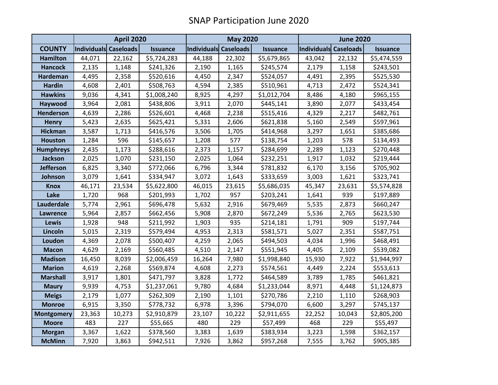|                   | <b>April 2020</b>            |        |                 | <b>May 2020</b>       |        |                 | <b>June 2020</b> |                       |                 |
|-------------------|------------------------------|--------|-----------------|-----------------------|--------|-----------------|------------------|-----------------------|-----------------|
| <b>COUNTY</b>     | <b>Individuals Caseloads</b> |        | <b>Issuance</b> | Individuals Caseloads |        | <b>Issuance</b> |                  | Individuals Caseloads | <b>Issuance</b> |
| <b>Hamilton</b>   | 44,071                       | 22,162 | \$5,724,283     | 44,188                | 22,302 | \$5,679,865     | 43,042           | 22,132                | \$5,474,559     |
| <b>Hancock</b>    | 2,135                        | 1,148  | \$241,326       | 2,190                 | 1,165  | \$245,574       | 2,179            | 1,158                 | \$243,501       |
| <b>Hardeman</b>   | 4,495                        | 2,358  | \$520,616       | 4,450                 | 2,347  | \$524,057       | 4,491            | 2,395                 | \$525,530       |
| <b>Hardin</b>     | 4,608                        | 2,401  | \$508,763       | 4,594                 | 2,385  | \$510,961       | 4,713            | 2,472                 | \$524,341       |
| <b>Hawkins</b>    | 9,036                        | 4,341  | \$1,008,240     | 8,925                 | 4,297  | \$1,012,704     | 8,486            | 4,180                 | \$965,155       |
| Haywood           | 3,964                        | 2,081  | \$438,806       | 3,911                 | 2,070  | \$445,141       | 3,890            | 2,077                 | \$433,454       |
| <b>Henderson</b>  | 4,639                        | 2,286  | \$526,601       | 4,468                 | 2,238  | \$515,416       | 4,329            | 2,217                 | \$482,761       |
| <b>Henry</b>      | 5,423                        | 2,635  | \$625,421       | 5,331                 | 2,606  | \$621,838       | 5,160            | 2,549                 | \$597,961       |
| <b>Hickman</b>    | 3,587                        | 1,713  | \$416,576       | 3,506                 | 1,705  | \$414,968       | 3,297            | 1,651                 | \$385,686       |
| <b>Houston</b>    | 1,284                        | 596    | \$145,657       | 1,208                 | 577    | \$138,754       | 1,203            | 578                   | \$134,493       |
| <b>Humphreys</b>  | 2,435                        | 1,173  | \$288,616       | 2,373                 | 1,157  | \$284,699       | 2,289            | 1,123                 | \$270,448       |
| <b>Jackson</b>    | 2,025                        | 1,070  | \$231,150       | 2,025                 | 1,064  | \$232,251       | 1,917            | 1,032                 | \$219,444       |
| <b>Jefferson</b>  | 6,825                        | 3,340  | \$772,066       | 6,796                 | 3,344  | \$781,832       | 6,170            | 3,156                 | \$705,902       |
| Johnson           | 3,079                        | 1,641  | \$334,947       | 3,072                 | 1,643  | \$333,659       | 3,003            | 1,621                 | \$323,741       |
| <b>Knox</b>       | 46,171                       | 23,534 | \$5,622,800     | 46,015                | 23,615 | \$5,686,035     | 45,347           | 23,631                | \$5,574,828     |
| Lake              | 1,720                        | 968    | \$201,993       | 1,702                 | 957    | \$203,241       | 1,641            | 939                   | \$197,889       |
| Lauderdale        | 5,774                        | 2,961  | \$696,478       | 5,632                 | 2,916  | \$679,469       | 5,535            | 2,873                 | \$660,247       |
| Lawrence          | 5,964                        | 2,857  | \$662,456       | 5,908                 | 2,870  | \$672,249       | 5,536            | 2,765                 | \$623,530       |
| Lewis             | 1,928                        | 948    | \$211,992       | 1,903                 | 935    | \$214,181       | 1,791            | 909                   | \$197,744       |
| Lincoln           | 5,015                        | 2,319  | \$579,494       | 4,953                 | 2,313  | \$581,571       | 5,027            | 2,351                 | \$587,751       |
| Loudon            | 4,369                        | 2,078  | \$500,407       | 4,259                 | 2,065  | \$494,503       | 4,034            | 1,996                 | \$468,491       |
| <b>Macon</b>      | 4,629                        | 2,169  | \$560,485       | 4,510                 | 2,147  | \$551,945       | 4,405            | 2,109                 | \$539,082       |
| <b>Madison</b>    | 16,450                       | 8,039  | \$2,006,459     | 16,264                | 7,980  | \$1,998,840     | 15,930           | 7,922                 | \$1,944,997     |
| <b>Marion</b>     | 4,619                        | 2,268  | \$569,874       | 4,608                 | 2,273  | \$574,561       | 4,449            | 2,224                 | \$553,613       |
| <b>Marshall</b>   | 3,917                        | 1,801  | \$471,797       | 3,828                 | 1,772  | \$464,589       | 3,789            | 1,785                 | \$461,821       |
| <b>Maury</b>      | 9,939                        | 4,753  | \$1,237,061     | 9,780                 | 4,684  | \$1,233,044     | 8,971            | 4,448                 | \$1,124,873     |
| <b>Meigs</b>      | 2,179                        | 1,077  | \$262,309       | 2,190                 | 1,101  | \$270,786       | 2,210            | 1,110                 | \$268,903       |
| <b>Monroe</b>     | 6,915                        | 3,350  | \$778,732       | 6,978                 | 3,396  | \$794,070       | 6,600            | 3,297                 | \$745,137       |
| <b>Montgomery</b> | 23,363                       | 10,273 | \$2,910,879     | 23,107                | 10,222 | \$2,911,655     | 22,252           | 10,043                | \$2,805,200     |
| <b>Moore</b>      | 483                          | 227    | \$55,665        | 480                   | 229    | \$57,499        | 468              | 229                   | \$55,497        |
| <b>Morgan</b>     | 3,367                        | 1,622  | \$378,560       | 3,383                 | 1,639  | \$383,934       | 3,223            | 1,598                 | \$362,157       |
| <b>McMinn</b>     | 7,920                        | 3,863  | \$942,511       | 7,926                 | 3,862  | \$957,268       | 7,555            | 3,762                 | \$905,385       |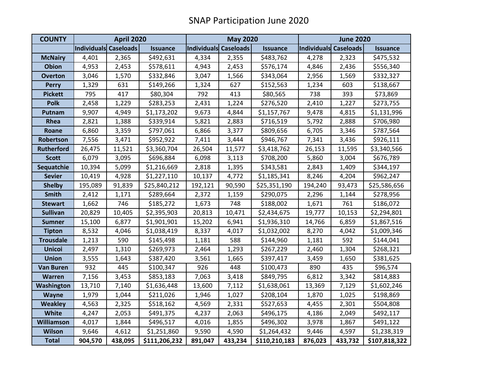| <b>COUNTY</b>     | <b>April 2020</b>     |         |               | <b>May 2020</b>       |         |                 | <b>June 2020</b>      |         |                 |
|-------------------|-----------------------|---------|---------------|-----------------------|---------|-----------------|-----------------------|---------|-----------------|
|                   | Individuals Caseloads |         | Issuance      | Individuals Caseloads |         | <b>Issuance</b> | Individuals Caseloads |         | <b>Issuance</b> |
| <b>McNairy</b>    | 4,401                 | 2,365   | \$492,631     | 4,334                 | 2,355   | \$483,762       | 4,278                 | 2,323   | \$475,532       |
| <b>Obion</b>      | 4,953                 | 2,453   | \$578,611     | 4,943                 | 2,453   | \$576,174       | 4,846                 | 2,436   | \$556,340       |
| <b>Overton</b>    | 3,046                 | 1,570   | \$332,846     | 3,047                 | 1,566   | \$343,064       | 2,956                 | 1,569   | \$332,327       |
| <b>Perry</b>      | 1,329                 | 631     | \$149,266     | 1,324                 | 627     | \$152,563       | 1,234                 | 603     | \$138,667       |
| <b>Pickett</b>    | 795                   | 417     | \$80,304      | 792                   | 413     | \$80,565        | 738                   | 393     | \$73,869        |
| <b>Polk</b>       | 2,458                 | 1,229   | \$283,253     | 2,431                 | 1,224   | \$276,520       | 2,410                 | 1,227   | \$273,755       |
| Putnam            | 9,907                 | 4,949   | \$1,173,202   | 9,673                 | 4,844   | \$1,157,767     | 9,478                 | 4,815   | \$1,131,996     |
| Rhea              | 2,821                 | 1,388   | \$339,914     | 5,821                 | 2,883   | \$716,519       | 5,792                 | 2,888   | \$706,980       |
| Roane             | 6,860                 | 3,359   | \$797,061     | 6,866                 | 3,377   | \$809,656       | 6,705                 | 3,346   | \$787,564       |
| Robertson         | 7,556                 | 3,471   | \$952,922     | 7,411                 | 3,444   | \$946,767       | 7,341                 | 3,436   | \$926,111       |
| <b>Rutherford</b> | 26,475                | 11,521  | \$3,360,704   | 26,504                | 11,577  | \$3,418,762     | 26,153                | 11,595  | \$3,340,566     |
| <b>Scott</b>      | 6,079                 | 3,095   | \$696,884     | 6,098                 | 3,113   | \$708,200       | 5,860                 | 3,004   | \$676,789       |
| Sequatchie        | 10,394                | 5,099   | \$1,216,669   | 2,818                 | 1,395   | \$343,581       | 2,843                 | 1,409   | \$344,197       |
| <b>Sevier</b>     | 10,419                | 4,928   | \$1,227,110   | 10,137                | 4,772   | \$1,185,341     | 8,246                 | 4,204   | \$962,247       |
| <b>Shelby</b>     | 195,089               | 91,839  | \$25,840,212  | 192,121               | 90,590  | \$25,351,190    | 194,240               | 93,473  | \$25,586,656    |
| <b>Smith</b>      | 2,412                 | 1,171   | \$289,664     | 2,372                 | 1,159   | \$290,075       | 2,296                 | 1,144   | \$278,956       |
| <b>Stewart</b>    | 1,662                 | 746     | \$185,272     | 1,673                 | 748     | \$188,002       | 1,671                 | 761     | \$186,072       |
| <b>Sullivan</b>   | 20,829                | 10,405  | \$2,395,903   | 20,813                | 10,471  | \$2,434,675     | 19,777                | 10,153  | \$2,294,801     |
| <b>Sumner</b>     | 15,100                | 6,877   | \$1,901,901   | 15,202                | 6,941   | \$1,936,310     | 14,766                | 6,859   | \$1,867,516     |
| <b>Tipton</b>     | 8,532                 | 4,046   | \$1,038,419   | 8,337                 | 4,017   | \$1,032,002     | 8,270                 | 4,042   | \$1,009,346     |
| <b>Trousdale</b>  | 1,213                 | 590     | \$145,498     | 1,181                 | 588     | \$144,960       | 1,181                 | 592     | \$144,041       |
| <b>Unicoi</b>     | 2,497                 | 1,310   | \$269,973     | 2,464                 | 1,293   | \$267,229       | 2,460                 | 1,304   | \$268,321       |
| <b>Union</b>      | 3,555                 | 1,643   | \$387,420     | 3,561                 | 1,665   | \$397,417       | 3,459                 | 1,650   | \$381,625       |
| <b>Van Buren</b>  | 932                   | 445     | \$100,347     | 926                   | 448     | \$100,473       | 890                   | 435     | \$96,574        |
| <b>Warren</b>     | 7,156                 | 3,453   | \$853,183     | 7,063                 | 3,418   | \$849,795       | 6,812                 | 3,342   | \$814,883       |
| Washington        | 13,710                | 7,140   | \$1,636,448   | 13,600                | 7,112   | \$1,638,061     | 13,369                | 7,129   | \$1,602,246     |
| Wayne             | 1,979                 | 1,044   | \$211,026     | 1,946                 | 1,027   | \$208,104       | 1,870                 | 1,025   | \$198,869       |
| <b>Weakley</b>    | 4,563                 | 2,325   | \$518,162     | 4,569                 | 2,331   | \$527,653       | 4,455                 | 2,301   | \$504,808       |
| <b>White</b>      | 4,247                 | 2,053   | \$491,375     | 4,237                 | 2,063   | \$496,175       | 4,186                 | 2,049   | \$492,117       |
| <b>Williamson</b> | 4,017                 | 1,844   | \$496,517     | 4,016                 | 1,855   | \$496,302       | 3,978                 | 1,867   | \$491,122       |
| <b>Wilson</b>     | 9,646                 | 4,612   | \$1,251,860   | 9,590                 | 4,590   | \$1,264,432     | 9,446                 | 4,597   | \$1,238,319     |
| <b>Total</b>      | 904,570               | 438,095 | \$111,206,232 | 891,047               | 433,234 | \$110,210,183   | 876,023               | 433,732 | \$107,818,322   |